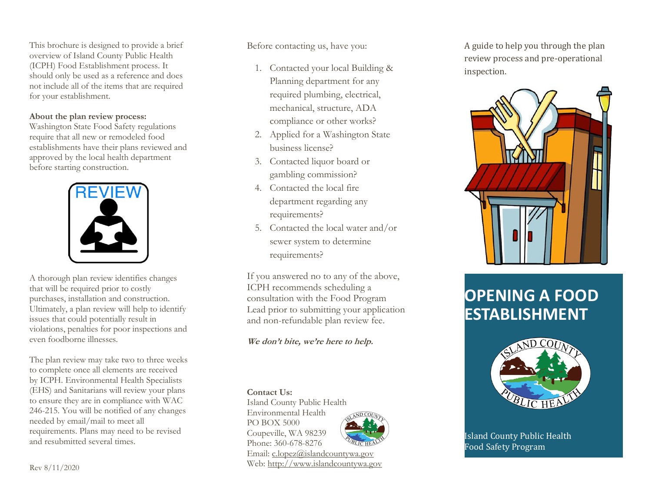This brochure is designed to provide a brief overview of Island County Public Health (ICPH) Food Establishment process. It should only be used as a reference and does not include all of the items that are required for your establishment.

#### **About the plan review process:**

Washington State Food Safety regulations require that all new or remodeled food establishments have their plans reviewed and approved b y the local health department before starting construction.



A thorough plan review identifies changes that will be required prior to costly purchases, installation and construction. Ultimately, a plan review will help to identify issues that could potentially result in violations, penalties for poor inspections and even foodborne illnesses.

The plan review may take two to three weeks to complete once all elements are received by ICPH. Environmental Health Specialists (EHS) and Sanitarians will review your plans to ensure they are in compliance with WAC 246 -215. You will be notified of any changes needed by email/mail to meet all requirements. Plan s may need to be revised and resubmitted several times.

Before contacting us, have you :

- 1. Contacted your local Building & Planning department for any req uired plumbing, electrical, mechanical, structure, ADA compliance or other work s ?
- 2. Applied for a Washington State business license?
- 3. Contacted liquor board or gambling commission?
- 4. Contacted the local fire department regarding any requirements?
- 5. Contacted the local water and/or sewer system to determine requirements?

If you answered no to any of the above, ICPH recommends scheduling a consultation with the Food Program Lead prior to submitting your application and non -refundable plan review fee .

## **We don't bite, we're here to help.**

#### **Contact Us:**

Island County Public Health Environmental Health PO BOX 5000 Coupeville, WA 98239 Phone: 360-678-8276



Email: [c.lopez@islandcountywa.gov](mailto:c.lopez@islandcountywa.gov) Web: [http://www.islandcountywa.gov](http://www.islandcountywa.gov/) A guide to help you through the plan review process and pre -operational inspection.



# **OPENING A FOOD ESTABLISHMENT**



Island County Public Health Food Safety Program